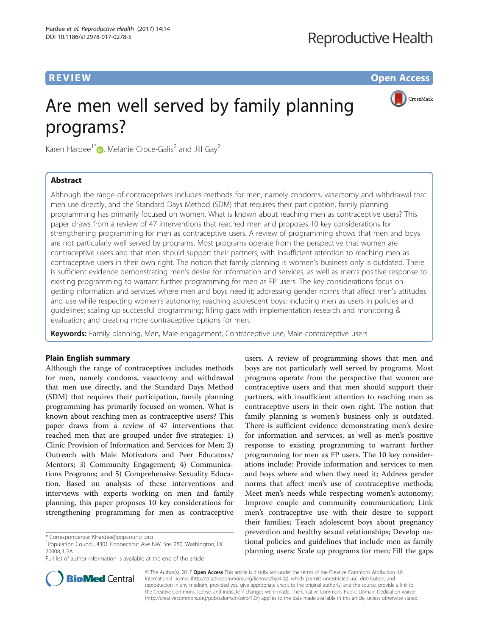**REVIEW CONSTRUCTION CONSTRUCTION CONSTRUCTS** 

CrossMark

# Are men well served by family planning programs?

Karen Hardee<sup>1\*</sup> $\bullet$ [,](http://orcid.org/0000-0003-2545-6269) Melanie Croce-Galis<sup>2</sup> and Jill Gay<sup>2</sup>

# Abstract

Although the range of contraceptives includes methods for men, namely condoms, vasectomy and withdrawal that men use directly, and the Standard Days Method (SDM) that requires their participation, family planning programming has primarily focused on women. What is known about reaching men as contraceptive users? This paper draws from a review of 47 interventions that reached men and proposes 10 key considerations for strengthening programming for men as contraceptive users. A review of programming shows that men and boys are not particularly well served by programs. Most programs operate from the perspective that women are contraceptive users and that men should support their partners, with insufficient attention to reaching men as contraceptive users in their own right. The notion that family planning is women's business only is outdated. There is sufficient evidence demonstrating men's desire for information and services, as well as men's positive response to existing programming to warrant further programming for men as FP users. The key considerations focus on getting information and services where men and boys need it; addressing gender norms that affect men's attitudes and use while respecting women's autonomy; reaching adolescent boys; including men as users in policies and guidelines; scaling up successful programming; filling gaps with implementation research and monitoring & evaluation; and creating more contraceptive options for men.

Keywords: Family planning, Men, Male engagement, Contraceptive use, Male contraceptive users

# Plain English summary

Although the range of contraceptives includes methods for men, namely condoms, vasectomy and withdrawal that men use directly, and the Standard Days Method (SDM) that requires their participation, family planning programming has primarily focused on women. What is known about reaching men as contraceptive users? This paper draws from a review of 47 interventions that reached men that are grouped under five strategies: 1) Clinic Provision of Information and Services for Men; 2) Outreach with Male Motivators and Peer Educators/ Mentors; 3) Community Engagement; 4) Communications Programs; and 5) Comprehensive Sexuality Education. Based on analysis of these interventions and interviews with experts working on men and family planning, this paper proposes 10 key considerations for strengthening programming for men as contraceptive

users. A review of programming shows that men and boys are not particularly well served by programs. Most programs operate from the perspective that women are contraceptive users and that men should support their partners, with insufficient attention to reaching men as contraceptive users in their own right. The notion that family planning is women's business only is outdated. There is sufficient evidence demonstrating men's desire for information and services, as well as men's positive response to existing programming to warrant further programming for men as FP users. The 10 key considerations include: Provide information and services to men and boys where and when they need it; Address gender norms that affect men's use of contraceptive methods; Meet men's needs while respecting women's autonomy; Improve couple and community communication; Link men's contraceptive use with their desire to support their families; Teach adolescent boys about pregnancy prevention and healthy sexual relationships; Develop national policies and guidelines that include men as family planning users; Scale up programs for men; Fill the gaps



© The Author(s). 2017 **Open Access** This article is distributed under the terms of the Creative Commons Attribution 4.0 International License [\(http://creativecommons.org/licenses/by/4.0/](http://creativecommons.org/licenses/by/4.0/)), which permits unrestricted use, distribution, and reproduction in any medium, provided you give appropriate credit to the original author(s) and the source, provide a link to the Creative Commons license, and indicate if changes were made. The Creative Commons Public Domain Dedication waiver [\(http://creativecommons.org/publicdomain/zero/1.0/](http://creativecommons.org/publicdomain/zero/1.0/)) applies to the data made available in this article, unless otherwise stated.

<sup>\*</sup> Correspondence: [KHardee@popcouncil.org](mailto:KHardee@popcouncil.org) <sup>1</sup>

<sup>&</sup>lt;sup>1</sup>Population Council, 4301 Connecticut Ave NW, Ste. 280, Washington, DC 20008, USA

Full list of author information is available at the end of the article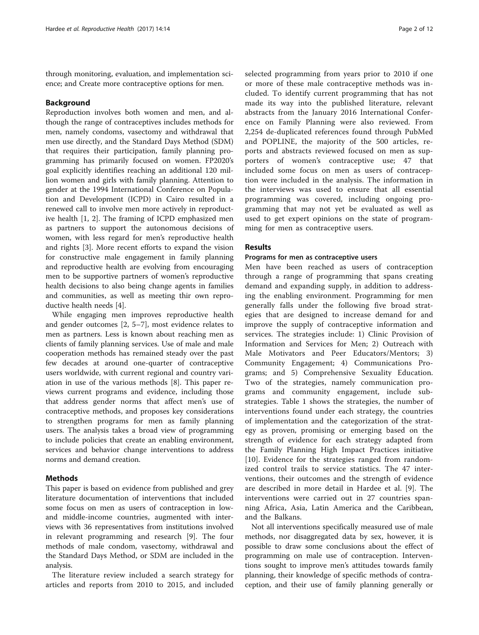through monitoring, evaluation, and implementation science; and Create more contraceptive options for men.

#### Background

Reproduction involves both women and men, and although the range of contraceptives includes methods for men, namely condoms, vasectomy and withdrawal that men use directly, and the Standard Days Method (SDM) that requires their participation, family planning programming has primarily focused on women. FP2020's goal explicitly identifies reaching an additional 120 million women and girls with family planning. Attention to gender at the 1994 International Conference on Population and Development (ICPD) in Cairo resulted in a renewed call to involve men more actively in reproductive health [[1, 2](#page-9-0)]. The framing of ICPD emphasized men as partners to support the autonomous decisions of women, with less regard for men's reproductive health and rights [[3\]](#page-9-0). More recent efforts to expand the vision for constructive male engagement in family planning and reproductive health are evolving from encouraging men to be supportive partners of women's reproductive health decisions to also being change agents in families and communities, as well as meeting thir own reproductive health needs [[4\]](#page-9-0).

While engaging men improves reproductive health and gender outcomes [\[2](#page-9-0), [5](#page-9-0)–[7\]](#page-9-0), most evidence relates to men as partners. Less is known about reaching men as clients of family planning services. Use of male and male cooperation methods has remained steady over the past few decades at around one-quarter of contraceptive users worldwide, with current regional and country variation in use of the various methods [[8\]](#page-9-0). This paper reviews current programs and evidence, including those that address gender norms that affect men's use of contraceptive methods, and proposes key considerations to strengthen programs for men as family planning users. The analysis takes a broad view of programming to include policies that create an enabling environment, services and behavior change interventions to address norms and demand creation.

# Methods

This paper is based on evidence from published and grey literature documentation of interventions that included some focus on men as users of contraception in lowand middle-income countries, augmented with interviews with 36 representatives from institutions involved in relevant programming and research [\[9](#page-9-0)]. The four methods of male condom, vasectomy, withdrawal and the Standard Days Method, or SDM are included in the analysis.

The literature review included a search strategy for articles and reports from 2010 to 2015, and included selected programming from years prior to 2010 if one or more of these male contraceptive methods was included. To identify current programming that has not made its way into the published literature, relevant abstracts from the January 2016 International Conference on Family Planning were also reviewed. From 2,254 de-duplicated references found through PubMed and POPLINE, the majority of the 500 articles, reports and abstracts reviewed focused on men as supporters of women's contraceptive use; 47 that included some focus on men as users of contraception were included in the analysis. The information in the interviews was used to ensure that all essential programming was covered, including ongoing programming that may not yet be evaluated as well as used to get expert opinions on the state of programming for men as contraceptive users.

#### Results

#### Programs for men as contraceptive users

Men have been reached as users of contraception through a range of programming that spans creating demand and expanding supply, in addition to addressing the enabling environment. Programming for men generally falls under the following five broad strategies that are designed to increase demand for and improve the supply of contraceptive information and services. The strategies include: 1) Clinic Provision of Information and Services for Men; 2) Outreach with Male Motivators and Peer Educators/Mentors; 3) Community Engagement; 4) Communications Programs; and 5) Comprehensive Sexuality Education. Two of the strategies, namely communication programs and community engagement, include substrategies. Table [1](#page-2-0) shows the strategies, the number of interventions found under each strategy, the countries of implementation and the categorization of the strategy as proven, promising or emerging based on the strength of evidence for each strategy adapted from the Family Planning High Impact Practices initiative [[10\]](#page-9-0). Evidence for the strategies ranged from randomized control trails to service statistics. The 47 interventions, their outcomes and the strength of evidence are described in more detail in Hardee et al. [\[9](#page-9-0)]. The interventions were carried out in 27 countries spanning Africa, Asia, Latin America and the Caribbean, and the Balkans.

Not all interventions specifically measured use of male methods, nor disaggregated data by sex, however, it is possible to draw some conclusions about the effect of programming on male use of contraception. Interventions sought to improve men's attitudes towards family planning, their knowledge of specific methods of contraception, and their use of family planning generally or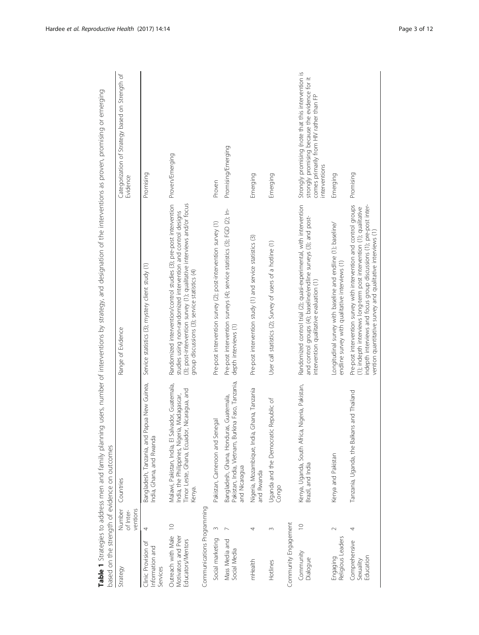<span id="page-2-0"></span>

|                                                                |                                 | based on the strength of evidence on outcomes                                                                                                             | Table 1 Strategies to address men and family planning users, number of interventions by strategy, and designation of the interventions as proven, promising or emerging                                                                                                        |                                                                                                                                                                  |
|----------------------------------------------------------------|---------------------------------|-----------------------------------------------------------------------------------------------------------------------------------------------------------|--------------------------------------------------------------------------------------------------------------------------------------------------------------------------------------------------------------------------------------------------------------------------------|------------------------------------------------------------------------------------------------------------------------------------------------------------------|
| Strategy                                                       | ventions<br>Number<br>of Inter- | Countries                                                                                                                                                 | Range of Evidence                                                                                                                                                                                                                                                              | Categorization of Strategy based on Strength of<br>Evidence                                                                                                      |
| Clinic Provision of<br>Information and<br>Services             | 4                               | Bangladesh, Tanzania, and Papua New Guinea,<br>India, Ghana, and Rwanda                                                                                   | Service statistics (3); mystery client study (1)                                                                                                                                                                                                                               | Promising                                                                                                                                                        |
| Outreach with Male<br>Motivators and Peer<br>Educators/Mentors | $\supseteq$                     | Malawi, Pakistan, India, El Salvador, Guatemala,<br>Timor Leste, Ghana, Ecuador, Nicaragua, and<br>India, the Philippines, Nigeria, Madagascar,<br>Kenya. | Randomized intervention/control studies (3); pre-post intervention<br>(3); post-intervention survey (1); qualitative interviews and/or focus<br>studies using non-randomized intervention and control designs<br>group discussions (3); service statistics (4)                 | Proven/Emerging                                                                                                                                                  |
| Communications Programming                                     |                                 |                                                                                                                                                           |                                                                                                                                                                                                                                                                                |                                                                                                                                                                  |
| Social marketing                                               | $\sim$                          | Pakistan, Cameroon and Senega                                                                                                                             | Pre-post intervention survey (2); post-intervention survey (1)                                                                                                                                                                                                                 | Proven                                                                                                                                                           |
| Mass Media and<br>Social Media                                 |                                 | Faso, Tanzania,<br>Bangladesh, Ghana, Honduras, Guatemala,<br>Pakistan, India, Vietnam, Burkina<br>and Nicaragua                                          | Pre-post intervention surveys (4); service statistics (3); FGD (2); In-<br>depth interviews (1)                                                                                                                                                                                | Promising/Emerging                                                                                                                                               |
| mHealth                                                        | 4                               | Nigeria, Mozambique, India, Ghana, Tanzania<br>and Rwanda                                                                                                 | Pre-post intervention study (1) and service statistics (3)                                                                                                                                                                                                                     | Emerging                                                                                                                                                         |
| Hotlines                                                       | $\sim$                          | Uganda and the Democratic Republic of<br>Congo                                                                                                            | User call statistics (2); Survey of users of a hotline (1)                                                                                                                                                                                                                     | Emerging                                                                                                                                                         |
| Community Engagement                                           |                                 |                                                                                                                                                           |                                                                                                                                                                                                                                                                                |                                                                                                                                                                  |
| Community<br>Dialogue                                          | $\supseteq$                     | Kenya, Uganda, South Africa, Nigeria, Pakistan,<br>Brazil, and India                                                                                      | Randomized control trial (2); quasi-experimental, with intervention<br>and control groups (4); baseline/endline surveys (3); and post-<br>intervention qualitative evaluation (1)                                                                                              | Strongly promising (note that this intervention is<br>strongly promising because the evidence for it<br>comes primarily from HIV rather than FP<br>interventions |
| Religious Leaders<br>Engaging                                  | $\sim$                          | Kenya and Pakistan                                                                                                                                        | Longitudinal survey with baseline and endline (1); baseline/<br>endline survey with qualitative interviews (1)                                                                                                                                                                 | Emerging                                                                                                                                                         |
| Comprehensive<br>Education<br>Sexuality                        | 4                               | Tanzania, Uganda, the Balkans and Thailand                                                                                                                | Pre-post intervention survey with intervention and control groups<br>indepth interviews and focus group discussions (1); pre-post inter-<br>(1); indepth interviews long-term post intervention (1); qualitative<br>vention quantitative survey and qualitative interviews (1) | Promising                                                                                                                                                        |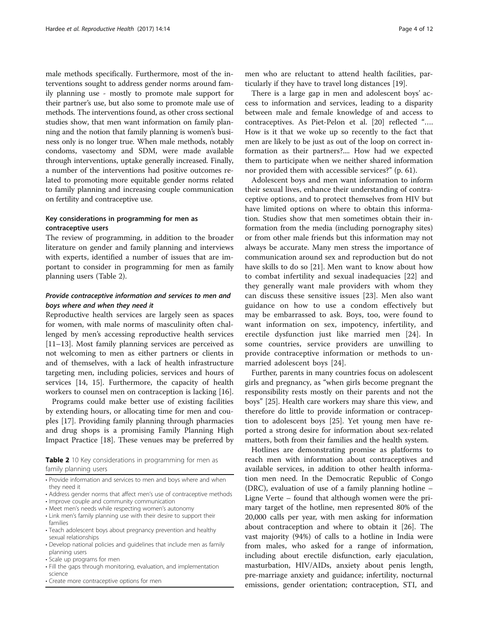male methods specifically. Furthermore, most of the interventions sought to address gender norms around family planning use - mostly to promote male support for their partner's use, but also some to promote male use of methods. The interventions found, as other cross sectional studies show, that men want information on family planning and the notion that family planning is women's business only is no longer true. When male methods, notably condoms, vasectomy and SDM, were made available through interventions, uptake generally increased. Finally, a number of the interventions had positive outcomes related to promoting more equitable gender norms related to family planning and increasing couple communication on fertility and contraceptive use.

# Key considerations in programming for men as contraceptive users

The review of programming, in addition to the broader literature on gender and family planning and interviews with experts, identified a number of issues that are important to consider in programming for men as family planning users (Table 2).

## Provide contraceptive information and services to men and boys where and when they need it

Reproductive health services are largely seen as spaces for women, with male norms of masculinity often challenged by men's accessing reproductive health services [[11](#page-9-0)–[13](#page-9-0)]. Most family planning services are perceived as not welcoming to men as either partners or clients in and of themselves, with a lack of health infrastructure targeting men, including policies, services and hours of services [\[14](#page-9-0), [15](#page-9-0)]. Furthermore, the capacity of health workers to counsel men on contraception is lacking [\[16](#page-9-0)].

Programs could make better use of existing facilities by extending hours, or allocating time for men and couples [\[17](#page-9-0)]. Providing family planning through pharmacies and drug shops is a promising Family Planning High Impact Practice [\[18\]](#page-9-0). These venues may be preferred by

Table 2 10 Key considerations in programming for men as family planning users

- Provide information and services to men and boys where and when they need it
- Address gender norms that affect men's use of contraceptive methods
- Improve couple and community communication
- Meet men's needs while respecting women's autonomy
- Link men's family planning use with their desire to support their families
- Teach adolescent boys about pregnancy prevention and healthy sexual relationships
- Develop national policies and guidelines that include men as family planning users
- Scale up programs for men
- Fill the gaps through monitoring, evaluation, and implementation science
- Create more contraceptive options for men

men who are reluctant to attend health facilities, particularly if they have to travel long distances [\[19](#page-9-0)].

There is a large gap in men and adolescent boys' access to information and services, leading to a disparity between male and female knowledge of and access to contraceptives. As Piet-Pelon et al. [\[20](#page-9-0)] reflected "…. How is it that we woke up so recently to the fact that men are likely to be just as out of the loop on correct information as their partners?.... How had we expected them to participate when we neither shared information nor provided them with accessible services?" (p. 61).

Adolescent boys and men want information to inform their sexual lives, enhance their understanding of contraceptive options, and to protect themselves from HIV but have limited options on where to obtain this information. Studies show that men sometimes obtain their information from the media (including pornography sites) or from other male friends but this information may not always be accurate. Many men stress the importance of communication around sex and reproduction but do not have skills to do so [\[21\]](#page-9-0). Men want to know about how to combat infertility and sexual inadequacies [[22\]](#page-9-0) and they generally want male providers with whom they can discuss these sensitive issues [[23\]](#page-9-0). Men also want guidance on how to use a condom effectively but may be embarrassed to ask. Boys, too, were found to want information on sex, impotency, infertility, and erectile dysfunction just like married men [[24\]](#page-9-0). In some countries, service providers are unwilling to provide contraceptive information or methods to unmarried adolescent boys [[24\]](#page-9-0).

Further, parents in many countries focus on adolescent girls and pregnancy, as "when girls become pregnant the responsibility rests mostly on their parents and not the boys" [[25\]](#page-9-0). Health care workers may share this view, and therefore do little to provide information or contraception to adolescent boys [[25\]](#page-9-0). Yet young men have reported a strong desire for information about sex-related matters, both from their families and the health system.

Hotlines are demonstrating promise as platforms to reach men with information about contraceptives and available services, in addition to other health information men need. In the Democratic Republic of Congo (DRC), evaluation of use of a family planning hotline – Ligne Verte – found that although women were the primary target of the hotline, men represented 80% of the 20,000 calls per year, with men asking for information about contraception and where to obtain it [\[26](#page-9-0)]. The vast majority (94%) of calls to a hotline in India were from males, who asked for a range of information, including about erectile disfunction, early ejaculation, masturbation, HIV/AIDs, anxiety about penis length, pre-marriage anxiety and guidance; infertility, nocturnal emissions, gender orientation; contraception, STI, and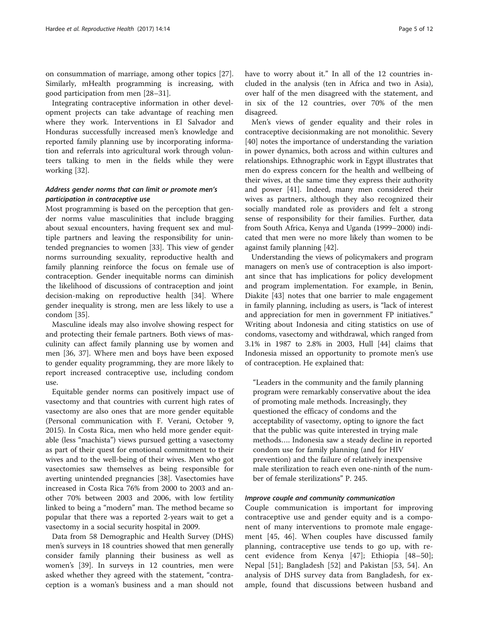on consummation of marriage, among other topics [\[27](#page-9-0)]. Similarly, mHealth programming is increasing, with good participation from men [\[28](#page-9-0)–[31](#page-9-0)].

Integrating contraceptive information in other development projects can take advantage of reaching men where they work. Interventions in El Salvador and Honduras successfully increased men's knowledge and reported family planning use by incorporating information and referrals into agricultural work through volunteers talking to men in the fields while they were working [\[32\]](#page-9-0).

# Address gender norms that can limit or promote men's participation in contraceptive use

Most programming is based on the perception that gender norms value masculinities that include bragging about sexual encounters, having frequent sex and multiple partners and leaving the responsibility for unintended pregnancies to women [[33\]](#page-9-0). This view of gender norms surrounding sexuality, reproductive health and family planning reinforce the focus on female use of contraception. Gender inequitable norms can diminish the likelihood of discussions of contraception and joint decision-making on reproductive health [\[34\]](#page-9-0). Where gender inequality is strong, men are less likely to use a condom [\[35](#page-9-0)].

Masculine ideals may also involve showing respect for and protecting their female partners. Both views of masculinity can affect family planning use by women and men [[36, 37\]](#page-10-0). Where men and boys have been exposed to gender equality programming, they are more likely to report increased contraceptive use, including condom use.

Equitable gender norms can positively impact use of vasectomy and that countries with current high rates of vasectomy are also ones that are more gender equitable (Personal communication with F. Verani, October 9, 2015). In Costa Rica, men who held more gender equitable (less "machista") views pursued getting a vasectomy as part of their quest for emotional commitment to their wives and to the well-being of their wives. Men who got vasectomies saw themselves as being responsible for averting unintended pregnancies [[38\]](#page-10-0). Vasectomies have increased in Costa Rica 76% from 2000 to 2003 and another 70% between 2003 and 2006, with low fertility linked to being a "modern" man. The method became so popular that there was a reported 2-years wait to get a vasectomy in a social security hospital in 2009.

Data from 58 Demographic and Health Survey (DHS) men's surveys in 18 countries showed that men generally consider family planning their business as well as women's [[39\]](#page-10-0). In surveys in 12 countries, men were asked whether they agreed with the statement, "contraception is a woman's business and a man should not have to worry about it." In all of the 12 countries included in the analysis (ten in Africa and two in Asia), over half of the men disagreed with the statement, and in six of the 12 countries, over 70% of the men disagreed.

Men's views of gender equality and their roles in contraceptive decisionmaking are not monolithic. Severy [[40\]](#page-10-0) notes the importance of understanding the variation in power dynamics, both across and within cultures and relationships. Ethnographic work in Egypt illustrates that men do express concern for the health and wellbeing of their wives, at the same time they express their authority and power [\[41\]](#page-10-0). Indeed, many men considered their wives as partners, although they also recognized their socially mandated role as providers and felt a strong sense of responsibility for their families. Further, data from South Africa, Kenya and Uganda (1999–2000) indicated that men were no more likely than women to be against family planning [[42\]](#page-10-0).

Understanding the views of policymakers and program managers on men's use of contraception is also important since that has implications for policy development and program implementation. For example, in Benin, Diakite [[43\]](#page-10-0) notes that one barrier to male engagement in family planning, including as users, is "lack of interest and appreciation for men in government FP initiatives." Writing about Indonesia and citing statistics on use of condoms, vasectomy and withdrawal, which ranged from 3.1% in 1987 to 2.8% in 2003, Hull [[44\]](#page-10-0) claims that Indonesia missed an opportunity to promote men's use of contraception. He explained that:

"Leaders in the community and the family planning program were remarkably conservative about the idea of promoting male methods. Increasingly, they questioned the efficacy of condoms and the acceptability of vasectomy, opting to ignore the fact that the public was quite interested in trying male methods…. Indonesia saw a steady decline in reported condom use for family planning (and for HIV prevention) and the failure of relatively inexpensive male sterilization to reach even one-ninth of the number of female sterilizations" P. 245.

#### Improve couple and community communication

Couple communication is important for improving contraceptive use and gender equity and is a component of many interventions to promote male engagement [\[45](#page-10-0), [46](#page-10-0)]. When couples have discussed family planning, contraceptive use tends to go up, with recent evidence from Kenya [\[47](#page-10-0)]; Ethiopia [\[48](#page-10-0)–[50](#page-10-0)]; Nepal [[51\]](#page-10-0); Bangladesh [[52\]](#page-10-0) and Pakistan [[53](#page-10-0), [54](#page-10-0)]. An analysis of DHS survey data from Bangladesh, for example, found that discussions between husband and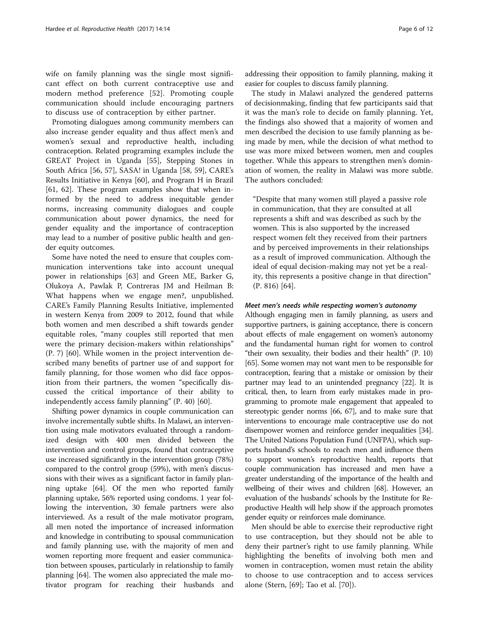wife on family planning was the single most significant effect on both current contraceptive use and modern method preference [\[52](#page-10-0)]. Promoting couple communication should include encouraging partners to discuss use of contraception by either partner.

Promoting dialogues among community members can also increase gender equality and thus affect men's and women's sexual and reproductive health, including contraception. Related programing examples include the GREAT Project in Uganda [[55](#page-10-0)], Stepping Stones in South Africa [\[56, 57](#page-10-0)], SASA! in Uganda [[58](#page-10-0), [59\]](#page-10-0), CARE's Results Initiative in Kenya [[60](#page-10-0)], and Program H in Brazil [[61, 62](#page-10-0)]. These program examples show that when informed by the need to address inequitable gender norms, increasing community dialogues and couple communication about power dynamics, the need for gender equality and the importance of contraception may lead to a number of positive public health and gender equity outcomes.

Some have noted the need to ensure that couples communication interventions take into account unequal power in relationships [[63](#page-10-0)] and Green ME, Barker G, Olukoya A, Pawlak P, Contreras JM and Heilman B: What happens when we engage men?, unpublished. CARE's Family Planning Results Initiative, implemented in western Kenya from 2009 to 2012, found that while both women and men described a shift towards gender equitable roles, "many couples still reported that men were the primary decision-makers within relationships" (P. 7) [\[60](#page-10-0)]. While women in the project intervention described many benefits of partner use of and support for family planning, for those women who did face opposition from their partners, the women "specifically discussed the critical importance of their ability to independently access family planning" (P. 40) [\[60](#page-10-0)].

Shifting power dynamics in couple communication can involve incrementally subtle shifts. In Malawi, an intervention using male motivators evaluated through a randomized design with 400 men divided between the intervention and control groups, found that contraceptive use increased significantly in the intervention group (78%) compared to the control group (59%), with men's discussions with their wives as a significant factor in family planning uptake [\[64\]](#page-10-0). Of the men who reported family planning uptake, 56% reported using condoms. 1 year following the intervention, 30 female partners were also interviewed. As a result of the male motivator program, all men noted the importance of increased information and knowledge in contributing to spousal communication and family planning use, with the majority of men and women reporting more frequent and easier communication between spouses, particularly in relationship to family planning [\[64\]](#page-10-0). The women also appreciated the male motivator program for reaching their husbands and addressing their opposition to family planning, making it easier for couples to discuss family planning.

The study in Malawi analyzed the gendered patterns of decisionmaking, finding that few participants said that it was the man's role to decide on family planning. Yet, the findings also showed that a majority of women and men described the decision to use family planning as being made by men, while the decision of what method to use was more mixed between women, men and couples together. While this appears to strengthen men's domination of women, the reality in Malawi was more subtle. The authors concluded:

"Despite that many women still played a passive role in communication, that they are consulted at all represents a shift and was described as such by the women. This is also supported by the increased respect women felt they received from their partners and by perceived improvements in their relationships as a result of improved communication. Although the ideal of equal decision-making may not yet be a reality, this represents a positive change in that direction" (P. 816) [[64](#page-10-0)].

#### Meet men's needs while respecting women's autonomy

Although engaging men in family planning, as users and supportive partners, is gaining acceptance, there is concern about effects of male engagement on women's autonomy and the fundamental human right for women to control "their own sexuality, their bodies and their health" (P. 10) [[65](#page-10-0)]. Some women may not want men to be responsible for contraception, fearing that a mistake or omission by their partner may lead to an unintended pregnancy [\[22](#page-9-0)]. It is critical, then, to learn from early mistakes made in programming to promote male engagement that appealed to stereotypic gender norms [[66](#page-10-0), [67](#page-10-0)], and to make sure that interventions to encourage male contraceptive use do not disempower women and reinforce gender inequalities [\[34](#page-9-0)]. The United Nations Population Fund (UNFPA), which supports husband's schools to reach men and influence them to support women's reproductive health, reports that couple communication has increased and men have a greater understanding of the importance of the health and wellbeing of their wives and children [\[68](#page-10-0)]. However, an evaluation of the husbands' schools by the Institute for Reproductive Health will help show if the approach promotes gender equity or reinforces male dominance.

Men should be able to exercise their reproductive right to use contraception, but they should not be able to deny their partner's right to use family planning. While highlighting the benefits of involving both men and women in contraception, women must retain the ability to choose to use contraception and to access services alone (Stern, [[69](#page-10-0)]; Tao et al. [[70](#page-10-0)]).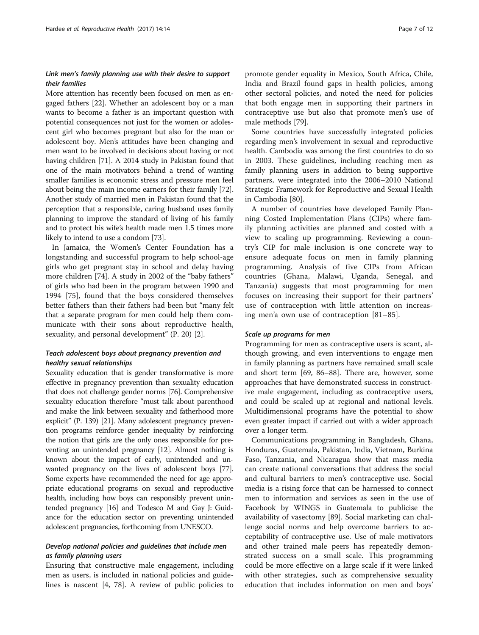## Link men's family planning use with their desire to support their families

More attention has recently been focused on men as engaged fathers [\[22\]](#page-9-0). Whether an adolescent boy or a man wants to become a father is an important question with potential consequences not just for the women or adolescent girl who becomes pregnant but also for the man or adolescent boy. Men's attitudes have been changing and men want to be involved in decisions about having or not having children [\[71\]](#page-10-0). A 2014 study in Pakistan found that one of the main motivators behind a trend of wanting smaller families is economic stress and pressure men feel about being the main income earners for their family [[72](#page-10-0)]. Another study of married men in Pakistan found that the perception that a responsible, caring husband uses family planning to improve the standard of living of his family and to protect his wife's health made men 1.5 times more likely to intend to use a condom [\[73](#page-10-0)].

In Jamaica, the Women's Center Foundation has a longstanding and successful program to help school-age girls who get pregnant stay in school and delay having more children [[74\]](#page-10-0). A study in 2002 of the "baby fathers" of girls who had been in the program between 1990 and 1994 [[75](#page-10-0)], found that the boys considered themselves better fathers than their fathers had been but "many felt that a separate program for men could help them communicate with their sons about reproductive health, sexuality, and personal development" (P. 20) [[2\]](#page-9-0).

# Teach adolescent boys about pregnancy prevention and healthy sexual relationships

Sexuality education that is gender transformative is more effective in pregnancy prevention than sexuality education that does not challenge gender norms [\[76](#page-10-0)]. Comprehensive sexuality education therefore "must talk about parenthood and make the link between sexuality and fatherhood more explicit" (P. 139) [[21](#page-9-0)]. Many adolescent pregnancy prevention programs reinforce gender inequality by reinforcing the notion that girls are the only ones responsible for preventing an unintended pregnancy [\[12](#page-9-0)]. Almost nothing is known about the impact of early, unintended and unwanted pregnancy on the lives of adolescent boys [\[77](#page-10-0)]. Some experts have recommended the need for age appropriate educational programs on sexual and reproductive health, including how boys can responsibly prevent unintended pregnancy [[16](#page-9-0)] and Todesco M and Gay J: Guidance for the education sector on preventing unintended adolescent pregnancies, forthcoming from UNESCO.

# Develop national policies and guidelines that include men as family planning users

Ensuring that constructive male engagement, including men as users, is included in national policies and guidelines is nascent [\[4,](#page-9-0) [78\]](#page-10-0). A review of public policies to

promote gender equality in Mexico, South Africa, Chile, India and Brazil found gaps in health policies, among other sectoral policies, and noted the need for policies that both engage men in supporting their partners in contraceptive use but also that promote men's use of male methods [[79](#page-11-0)].

Some countries have successfully integrated policies regarding men's involvement in sexual and reproductive health. Cambodia was among the first countries to do so in 2003. These guidelines, including reaching men as family planning users in addition to being supportive partners, were integrated into the 2006–2010 National Strategic Framework for Reproductive and Sexual Health in Cambodia [\[80](#page-11-0)].

A number of countries have developed Family Planning Costed Implementation Plans (CIPs) where family planning activities are planned and costed with a view to scaling up programming. Reviewing a country's CIP for male inclusion is one concrete way to ensure adequate focus on men in family planning programming. Analysis of five CIPs from African countries (Ghana, Malawi, Uganda, Senegal, and Tanzania) suggests that most programming for men focuses on increasing their support for their partners' use of contraception with little attention on increasing men'a own use of contraception [[81](#page-11-0)–[85](#page-11-0)].

#### Scale up programs for men

Programming for men as contraceptive users is scant, although growing, and even interventions to engage men in family planning as partners have remained small scale and short term [[69,](#page-10-0) [86](#page-11-0)–[88](#page-11-0)]. There are, however, some approaches that have demonstrated success in constructive male engagement, including as contraceptive users, and could be scaled up at regional and national levels. Multidimensional programs have the potential to show even greater impact if carried out with a wider approach over a longer term.

Communications programming in Bangladesh, Ghana, Honduras, Guatemala, Pakistan, India, Vietnam, Burkina Faso, Tanzania, and Nicaragua show that mass media can create national conversations that address the social and cultural barriers to men's contraceptive use. Social media is a rising force that can be harnessed to connect men to information and services as seen in the use of Facebook by WINGS in Guatemala to publicise the availability of vasectomy [\[89\]](#page-11-0). Social marketing can challenge social norms and help overcome barriers to acceptability of contraceptive use. Use of male motivators and other trained male peers has repeatedly demonstrated success on a small scale. This programming could be more effective on a large scale if it were linked with other strategies, such as comprehensive sexuality education that includes information on men and boys'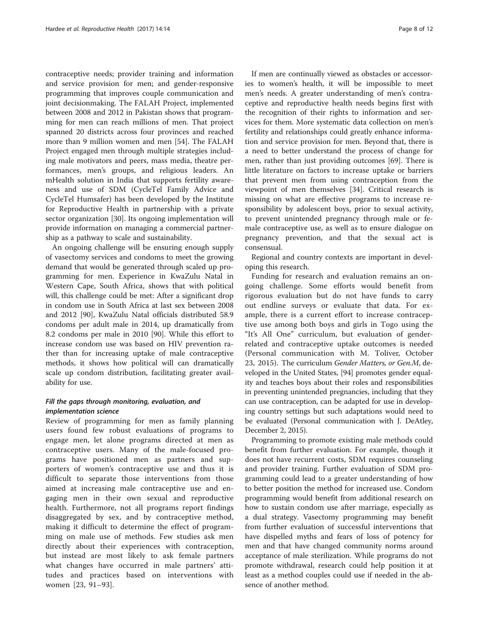contraceptive needs; provider training and information and service provision for men; and gender-responsive programming that improves couple communication and joint decisionmaking. The FALAH Project, implemented between 2008 and 2012 in Pakistan shows that programming for men can reach millions of men. That project spanned 20 districts across four provinces and reached more than 9 million women and men [\[54](#page-10-0)]. The FALAH Project engaged men through multiple strategies including male motivators and peers, mass media, theatre performances, men's groups, and religious leaders. An mHealth solution in India that supports fertility awareness and use of SDM (CycleTel Family Advice and CycleTel Humsafer) has been developed by the Institute for Reproductive Health in partnership with a private sector organization [\[30](#page-9-0)]. Its ongoing implementation will provide information on managing a commercial partnership as a pathway to scale and sustainability.

An ongoing challenge will be ensuring enough supply of vasectomy services and condoms to meet the growing demand that would be generated through scaled up programming for men. Experience in KwaZulu Natal in Western Cape, South Africa, shows that with political will, this challenge could be met: After a significant drop in condom use in South Africa at last sex between 2008 and 2012 [[90\]](#page-11-0), KwaZulu Natal officials distributed 58.9 condoms per adult male in 2014, up dramatically from 8.2 condoms per male in 2010 [\[90\]](#page-11-0). While this effort to increase condom use was based on HIV prevention rather than for increasing uptake of male contraceptive methods, it shows how political will can dramatically scale up condom distribution, facilitating greater availability for use.

# Fill the gaps through monitoring, evaluation, and implementation science

Review of programming for men as family planning users found few robust evaluations of programs to engage men, let alone programs directed at men as contraceptive users. Many of the male-focused programs have positioned men as partners and supporters of women's contraceptive use and thus it is difficult to separate those interventions from those aimed at increasing male contraceptive use and engaging men in their own sexual and reproductive health. Furthermore, not all programs report findings disaggregated by sex, and by contraceptive method, making it difficult to determine the effect of programming on male use of methods. Few studies ask men directly about their experiences with contraception, but instead are most likely to ask female partners what changes have occurred in male partners' attitudes and practices based on interventions with women [\[23](#page-9-0), [91](#page-11-0)–[93](#page-11-0)].

If men are continually viewed as obstacles or accessories to women's health, it will be impossible to meet men's needs. A greater understanding of men's contraceptive and reproductive health needs begins first with the recognition of their rights to information and services for them. More systematic data collection on men's fertility and relationships could greatly enhance information and service provision for men. Beyond that, there is a need to better understand the process of change for men, rather than just providing outcomes [[69](#page-10-0)]. There is little literature on factors to increase uptake or barriers that prevent men from using contraception from the viewpoint of men themselves [\[34\]](#page-9-0). Critical research is missing on what are effective programs to increase responsibility by adolescent boys, prior to sexual activity, to prevent unintended pregnancy through male or female contraceptive use, as well as to ensure dialogue on pregnancy prevention, and that the sexual act is consensual.

Regional and country contexts are important in developing this research.

Funding for research and evaluation remains an ongoing challenge. Some efforts would benefit from rigorous evaluation but do not have funds to carry out endline surveys or evaluate that data. For example, there is a current effort to increase contraceptive use among both boys and girls in Togo using the "It's All One" curriculum, but evaluation of genderrelated and contraceptive uptake outcomes is needed (Personal communication with M. Toliver, October 23, 2015). The curriculum Gender Matters, or Gen.M, developed in the United States, [[94](#page-11-0)] promotes gender equality and teaches boys about their roles and responsibilities in preventing unintended pregnancies, including that they can use contraception, can be adapted for use in developing country settings but such adaptations would need to be evaluated (Personal communication with J. DeAtley, December 2, 2015).

Programming to promote existing male methods could benefit from further evaluation. For example, though it does not have recurrent costs, SDM requires counseling and provider training. Further evaluation of SDM programming could lead to a greater understanding of how to better position the method for increased use. Condom programming would benefit from additional research on how to sustain condom use after marriage, especially as a dual strategy. Vasectomy programming may benefit from further evaluation of successful interventions that have dispelled myths and fears of loss of potency for men and that have changed community norms around acceptance of male sterilization. While programs do not promote withdrawal, research could help position it at least as a method couples could use if needed in the absence of another method.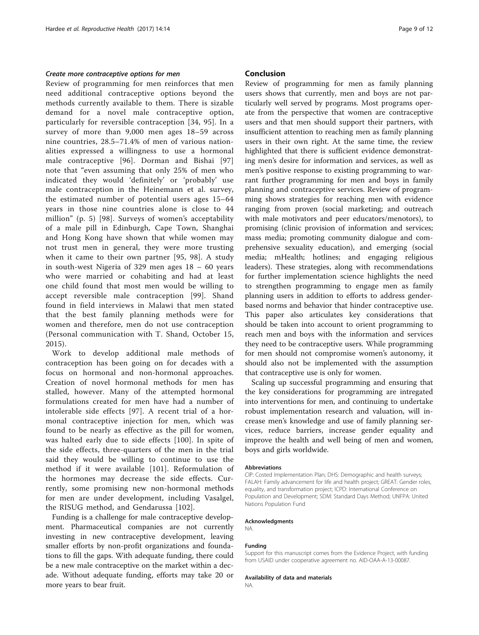#### Create more contraceptive options for men

Review of programming for men reinforces that men need additional contraceptive options beyond the methods currently available to them. There is sizable demand for a novel male contraceptive option, particularly for reversible contraception [[34](#page-9-0), [95](#page-11-0)]. In a survey of more than 9,000 men ages 18–59 across nine countries, 28.5–71.4% of men of various nationalities expressed a willingness to use a hormonal male contraceptive [\[96\]](#page-11-0). Dorman and Bishai [[97](#page-11-0)] note that "even assuming that only 25% of men who indicated they would 'definitely' or 'probably' use male contraception in the Heinemann et al. survey, the estimated number of potential users ages 15–64 years in those nine countries alone is close to 44 million" (p. 5) [[98\]](#page-11-0). Surveys of women's acceptability of a male pill in Edinburgh, Cape Town, Shanghai and Hong Kong have shown that while women may not trust men in general, they were more trusting when it came to their own partner [\[95](#page-11-0), [98](#page-11-0)]. A study in south-west Nigeria of 329 men ages 18 – 60 years who were married or cohabiting and had at least one child found that most men would be willing to accept reversible male contraception [\[99\]](#page-11-0). Shand found in field interviews in Malawi that men stated that the best family planning methods were for women and therefore, men do not use contraception (Personal communication with T. Shand, October 15, 2015).

Work to develop additional male methods of contraception has been going on for decades with a focus on hormonal and non-hormonal approaches. Creation of novel hormonal methods for men has stalled, however. Many of the attempted hormonal formulations created for men have had a number of intolerable side effects [[97\]](#page-11-0). A recent trial of a hormonal contraceptive injection for men, which was found to be nearly as effective as the pill for women, was halted early due to side effects [[100\]](#page-11-0). In spite of the side effects, three-quarters of the men in the trial said they would be willing to continue to use the method if it were available [\[101](#page-11-0)]. Reformulation of the hormones may decrease the side effects. Currently, some promising new non-hormonal methods for men are under development, including Vasalgel, the RISUG method, and Gendarussa [[102\]](#page-11-0).

Funding is a challenge for male contraceptive development. Pharmaceutical companies are not currently investing in new contraceptive development, leaving smaller efforts by non-profit organizations and foundations to fill the gaps. With adequate funding, there could be a new male contraceptive on the market within a decade. Without adequate funding, efforts may take 20 or more years to bear fruit.

#### Conclusion

Review of programming for men as family planning users shows that currently, men and boys are not particularly well served by programs. Most programs operate from the perspective that women are contraceptive users and that men should support their partners, with insufficient attention to reaching men as family planning users in their own right. At the same time, the review highlighted that there is sufficient evidence demonstrating men's desire for information and services, as well as men's positive response to existing programming to warrant further programming for men and boys in family planning and contraceptive services. Review of programming shows strategies for reaching men with evidence ranging from proven (social marketing; and outreach with male motivators and peer educators/menotors), to promising (clinic provision of information and services; mass media; promoting community dialogue and comprehensive sexuality education), and emerging (social media; mHealth; hotlines; and engaging religious leaders). These strategies, along with recommendations for further implementation science highlights the need to strengthen programming to engage men as family planning users in addition to efforts to address genderbased norms and behavior that hinder contraceptive use. This paper also articulates key considerations that should be taken into account to orient programming to reach men and boys with the information and services they need to be contraceptive users. While programming for men should not compromise women's autonomy, it should also not be implemented with the assumption that contraceptive use is only for women.

Scaling up successful programming and ensuring that the key considerations for programming are intregated into interventions for men, and continuing to undertake robust implementation research and valuation, will increase men's knowledge and use of family planning services, reduce barriers, increase gender equality and improve the health and well being of men and women, boys and girls worldwide.

#### Abbreviations

CIP: Costed Implementation Plan; DHS: Demographic and health surveys; FALAH: Family advancement for life and health project; GREAT: Gender roles, equality, and transformation project; ICPD: International Conference on Population and Development; SDM: Standard Days Method; UNFPA: United Nations Population Fund

#### Acknowledgments

NA.

#### Funding

Support for this manuscript comes from the Evidence Project, with funding from USAID under cooperative agreement no. AID-OAA-A-13-00087.

#### Availability of data and materials

NA.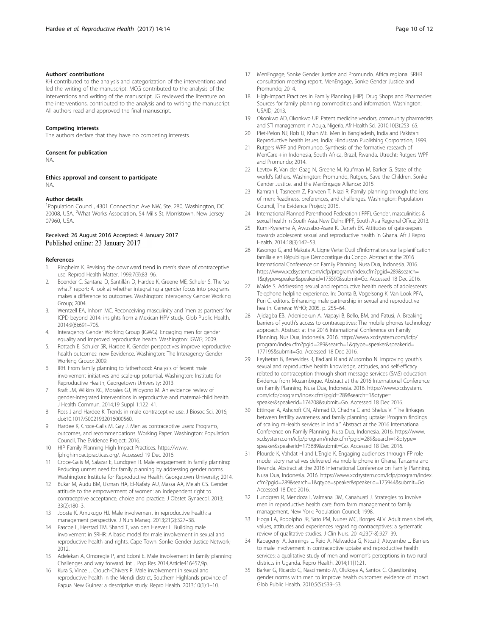#### <span id="page-9-0"></span>Authors' contributions

KH contributed to the analysis and categorization of the interventions and led the writing of the manuscript. MCG contributed to the analysis of the interventions and writing of the manuscript. JG reviewed the literature on the interventions, contributed to the analysis and to writing the manuscript. All authors read and approved the final manuscript.

#### Competing interests

The authors declare that they have no competing interests.

#### Consent for publication

NA.

Ethics approval and consent to participate NA.

#### Author details

<sup>1</sup>Population Council, 4301 Connecticut Ave NW, Ste. 280, Washington, DC 20008, USA. <sup>2</sup>What Works Association, 54 Mills St, Morristown, New Jersey 07960, USA.

#### Received: 26 August 2016 Accepted: 4 January 2017 Published online: 23 January 2017

#### References

- 1. Ringheim K. Revising the downward trend in men's share of contraceptive use. Reprod Health Matter. 1999;7(9):83–96.
- 2. Boender C, Santana D, Santillán D, Hardee K, Greene ME, Schuler S. The 'so what?' report: A look at whether integrating a gender focus into programs makes a difference to outcomes. Washington: Interagency Gender Working Group; 2004.
- 3. Wentzell EA, Inhorn MC. Reconceiving masculinity and 'men as partners' for ICPD beyond 2014: insights from a Mexican HPV study. Glob Public Health. 2014;9(6):691–705.
- 4. Interagency Gender Working Group (IGWG). Engaging men for gender equality and improved reproductive health. Washington: IGWG; 2009.
- 5. Rottach E, Schuler SR, Hardee K. Gender perspectives improve reproductive health outcomes: new Eevidence. Washington: The Interagency Gender Working Group; 2009.
- IRH. From family planning to fatherhood: Analysis of fecent male involvement initiatives and scale-up potential. Washington: Institute for Reproductive Health, Georgetown University; 2013.
- 7 Kraft JM, Wilkins KG, Morales GJ, Widyono M. An evidence review of gender-integrated interventions in reproductive and maternal-child health. J Health Commun. 2014;19 Suppl 1:122–41.
- 8 Ross J and Hardee K. Trends in male contraceptive use. J Biosoc Sci. 2016; doi[:10.1017/S0021932016000560.](http://dx.doi.org/10.1017/S0021932016000560)
- Hardee K, Croce-Galis M, Gay J. Men as contraceptive users: Programs, outcomes, and recommendations. Working Paper. Washington: Population Council, The Evidence Project; 2016.
- 10 HIP Family Planning High Impact Practices. [https://www.](https://www.fphighimpactpractices.org/) [fphighimpactpractices.org/](https://www.fphighimpactpractices.org/). Accessed 19 Dec 2016.
- 11 Croce-Galis M, Salazar E, Lundgren R. Male engagement in family planning: Reducing unmet need for family planning by addressing gender norms. Washington: Institute for Reproductive Health, Georgetown University; 2014.
- 12 Bukar M, Audu BM, Usman HA, El-Nafaty AU, Massa AA, Melah GS. Gender attitude to the empowerment of women: an independent right to contraceptive acceptance, choice and practice. J Obstet Gynaecol. 2013; 33(2):180–3.
- 13 Jooste K, Amukugo HJ. Male involvement in reproductive health: a management perspective. J Nurs Manag. 2013;21(2):327–38.
- 14 Pascoe L, Herstad TM, Shand T, van den Heever L. Building male involvement in SRHR: A basic model for male involvement in sexual and reproductive health and rights. Cape Town: Sonke Gender Justice Network; 2012.
- 15 Adelekan A, Omoregie P, and Edoni E. Male involvement in family planning: Challenges and way forward. Int J Pop Res 2014;Article416457,9p.
- 16 Kura S, Vince J, Crouch-Chivers P. Male involvement in sexual and reproductive health in the Mendi district, Southern Highlands province of Papua New Guinea: a descriptive study. Repro Health. 2013;10(1):1–10.
- 17 MenEngage, Sonke Gender Justice and Promundo. Africa regional SRHR consultation meeting report. MenEngage, Sonke Gender Justice and Promundo; 2014.
- 18 High-Impact Practices in Family Planning (HIP). Drug Shops and Pharmacies: Sources for family planning commodities and information. Washington: USAID; 2013.
- 19 Okonkwo AD, Okonkwo UP. Patent medicine vendors, community pharmacists and STI management in Abuja, Nigeria. Afr Health Sci. 2010;10(3):253–65.
- 20 Piet-Pelon NJ, Rob U, Khan ME, Men in Bangladesh, India and Pakistan: Reproductive health issues. India: Hindustan Publishing Corporation; 1999.
- 21 Rutgers WPF and Promundo. Synthesis of the formative research of MenCare + in Indonesia, South Africa, Brazil, Rwanda. Utrecht: Rutgers WPF and Promundo; 2014.
- 22 Levtov R, Van der Gaag N, Greene M, Kaufman M, Barker G. State of the world's fathers. Washington: Promundo, Rutgers, Save the Children, Sonke Gender Justice, and the MenEngage Alliance; 2015.
- 23 Kamran I, Tasneem Z, Parveen T, Niazi R. Family planning through the lens of men: Readiness, preferences, and challenges. Washington: Population Council, The Evidence Project; 2015.
- 24 International Planned Parenthood Federation (IPPF). Gender, masculinities & sexual health in South Asia. New Delhi: IPPF, South Asia Regional Office; 2013.
- 25 Kumi-Kyereme A, Awusabo-Asare K, Darteh EK. Attitudes of gatekeepers towards adolescent sexual and reproductive health in Ghana. Afr J Repro Health. 2014;18(3):142–53.
- 26 Kasongo G, and Makuta A. Ligne Verte: Outil d'informations sur la planification familiale en République Démocratique du Congo. Abstract at the 2016 International Conference on Family Planning. Nusa Dua, Indonesia. 2016. [https://www.xcdsystem.com/icfp/program/index.cfm?pgid=289&search=](https://www.xcdsystem.com/icfp/program/index.cfm?pgid=289&search=1&qtype=speaker&speakerid=175590&submit=Go) [1&qtype=speaker&speakerid=175590&submit=Go.](https://www.xcdsystem.com/icfp/program/index.cfm?pgid=289&search=1&qtype=speaker&speakerid=175590&submit=Go) Accessed 18 Dec 2016.
- 27 Malde S. Addressing sexual and reproductive health needs of adolescents: Telephone helpline experience. In: Donta B, Vogelsong K, Van Look PFA, Puri C, editors. Enhancing male partnership in sexual and reproductive health. Geneva: WHO; 2005. p. 255–64.
- 28 Ajidagba EB., Adenipekun A, Mapayi B, Bello, BM, and Fatusi, A. Breaking barriers of youth's access to contraceptives: The mobile phones technology approach. Abstract at the 2016 International Conference on Family Planning. Nus Dua, Indonesia. 2016. [https://www.xcdsystem.com/icfp/](https://www.xcdsystem.com/icfp/program/index.cfm?pgid=289&search=1&qtype=speaker&speakerid=177195&submit=Go) [program/index.cfm?pgid=289&search=1&qtype=speaker&speakerid=](https://www.xcdsystem.com/icfp/program/index.cfm?pgid=289&search=1&qtype=speaker&speakerid=177195&submit=Go) [177195&submit=Go](https://www.xcdsystem.com/icfp/program/index.cfm?pgid=289&search=1&qtype=speaker&speakerid=177195&submit=Go). Accessed 18 Dec 2016.
- 29 Feyisetan B, Benevides R, Badiani R and Mutombo N. Improving youth's sexual and reproductive health knowledge, attitudes, and self-efficacy related to contraception through short message services (SMS) education: Evidence from Mozambique. Abstract at the 2016 International Conference on Family Planning. Nusa Dua, Indonesia. 2016. [https://www.xcdsystem.](https://www.xcdsystem.com/icfp/program/index.cfm?pgid=289&search=1&qtype=speaker&speakerid=174708&submit=Go) [com/icfp/program/index.cfm?pgid=289&search=1&qtype=](https://www.xcdsystem.com/icfp/program/index.cfm?pgid=289&search=1&qtype=speaker&speakerid=174708&submit=Go) [speaker&speakerid=174708&submit=Go.](https://www.xcdsystem.com/icfp/program/index.cfm?pgid=289&search=1&qtype=speaker&speakerid=174708&submit=Go) Accessed 18 Dec 2016.
- Ettinger A, Ashcroft CN, Ahmad D, Chadha C and Shelus V. "The linkages between fertility awareness and family planning uptake: Program findings of scaling mHealth services in India." Abstract at the 2016 International Conference on Family Planning. Nusa Dua, Indonesia. 2016. [https://www.](https://www.xcdsystem.com/icfp/program/index.cfm?pgid=289&search=1&qtype=speaker&speakerid=173689&submit=Go) [xcdsystem.com/icfp/program/index.cfm?pgid=289&search=1&qtype=](https://www.xcdsystem.com/icfp/program/index.cfm?pgid=289&search=1&qtype=speaker&speakerid=173689&submit=Go) [speaker&speakerid=173689&submit=Go.](https://www.xcdsystem.com/icfp/program/index.cfm?pgid=289&search=1&qtype=speaker&speakerid=173689&submit=Go) Accessed 18 Dec 2016.
- 31 Plourde K, Vahdat H and L'Engle K. Engaging audiences through FP role model story narratives delivered via mobile phone in Ghana, Tanzania and Rwanda. Abstract at the 2016 International Conference on Family Planning. Nusa Dua, Indonesia. 2016. [https://www.xcdsystem.com/icfp/program/index.](https://www.xcdsystem.com/icfp/program/index.cfm?pgid=289&search=1&qtype=speaker&speakerid=175944&submit=Go) [cfm?pgid=289&search=1&qtype=speaker&speakerid=175944&submit=Go.](https://www.xcdsystem.com/icfp/program/index.cfm?pgid=289&search=1&qtype=speaker&speakerid=175944&submit=Go) Accessed 18 Dec 2016.
- 32 Lundgren R, Mendoza I, Valmana DM, Canahuati J. Strategies to involve men in reproductive health care: from farm management to family management. New York: Population Council; 1998.
- 33 Hoga LA, Rodolpho JR, Sato PM, Nunes MC, Borges ALV. Adult men's beliefs, values, attitudes and experiences regarding contraceptives: a systematic review of qualitative studies. J Clin Nurs. 2014;23(7-8):927–39.
- 34 Kabagenyi A, Jennings L, Reid A, Nalwadda G, Ntozi J, Atuyambe L. Barriers to male involvement in contraceptive uptake and reproductive health services: a qualitative study of men and women's perceptions in two rural districts in Uganda. Repro Health. 2014;11(1):21.
- 35 Barker G, Ricardo C, Nascimento M, Olukoya A, Santos C. Questioning gender norms with men to improve health outcomes: evidence of impact. Glob Public Health. 2010;5(5):539–53.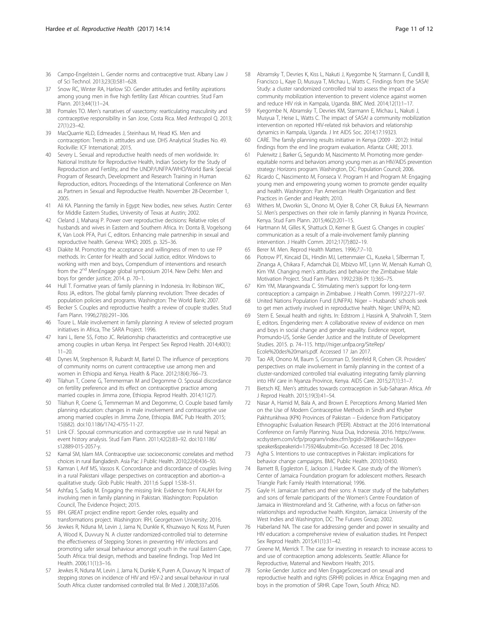- <span id="page-10-0"></span>36 Campo-Engelstein L. Gender norms and contraceptive trust. Albany Law J of Sci Technol. 2013;23(3):581–628.
- 37 Snow RC, Winter RA, Harlow SD. Gender attitudes and fertility aspirations among young men in five high fertility East African countries. Stud Fam Plann. 2013;44(1):1–24.
- 38 Pomales TO. Men's narratives of vasectomy: rearticulating masculinity and contraceptive responsibility in San Jose, Costa Rica. Med Anthropol Q. 2013;  $27(1):23-42$
- 39 MacQuarrie KLD, Edmeades J, Steinhaus M, Head KS. Men and contraception: Trends in attitudes and use. DHS Analytical Studies No. 49. Rockville: ICF International; 2015.
- 40 Severy L. Sexual and reproductive health needs of men worldwide. In: National Institute for Reproductive Health, Indian Society for the Study of Reproduction and Fertility, and the UNDP/UNFPA/WHO/World Bank Special Program of Research, Development and Research Training in Human Reproduction, editors. Proceedings of the International Conference on Men as Partners in Sexual and Reproductive Health. November 28-December 1, 2005.
- 41 Ali KA. Planning the family in Egypt: New bodies, new selves. Austin: Center for Middle Eastern Studies, University of Texas at Austin; 2002.
- 42 Cleland J, Maharaj P. Power over reproductive decisions: Relative roles of husbands and wives in Eastern and Southern Africa. In: Donta B, Vogelsong K, Van Look PFA, Puri C, editors. Enhancing male partnership in sexual and reproductive health. Geneva: WHO; 2005. p. 325–36.
- 43 Diakite M. Promoting the acceptance and willingness of men to use FP methods. In: Center for Health and Social Justice, editor. Windows to working with men and boys, Compendium of interventions and research from the 2<sup>nd</sup> MenEngage global symposium 2014. New Delhi: Men and boys for gender justice; 2014. p. 70–1.
- 44 Hull T. Formative years of family planning in Indonesia. In: Robinson WC, Ross JA, editors. The global family planning revolution: Three decades of population policies and programs. Washington: The World Bank; 2007.
- 45 Becker S. Couples and reproductive health: a review of couple studies. Stud Fam Plann. 1996;27(6):291–306.
- 46 Toure L. Male involvement in family planning: A review of selected program initiatives in Africa, The SARA Project. 1996.
- 47 Irani L, Ilene SS, Fotso JC. Relationship characteristics and contraceptive use among couples in urban Kenya. Int Perspect Sex Reprod Health. 2014;40(1): 11–20.
- 48 Dynes M, Stephenson R, Rubardt M, Bartel D. The influence of perceptions of community norms on current contraceptive use among men and women in Ethiopia and Kenya. Health & Place. 2012;18(4):766–73.
- Tilahun T, Coene G, Temmerman M and Degomme O. Spousal discordance on fertility preference and its effect on contraceptive practice among married couples in Jimma zone, Ethiopia. Reprod Health. 2014;11(27).
- 50 Tilahun R, Coene G, Temmerman M and Degomme, O. Couple based family planning education: changes in male involvement and contraceptive use among married couples in Jimma Zone, Ethiopia. BMC Pub Health. 2015; 15(682). doi[:10.1186/1742-4755-11-27](http://dx.doi.org/10.1186/1742-4755-11-27).
- 51 Link CF. Spousal communication and contraceptive use in rural Nepal: an event history analysis. Stud Fam Plann. 2011;42(2):83–92. doi[:10.1186/](http://dx.doi.org/10.1186/s12889-015-2057-y) [s12889-015-2057-y.](http://dx.doi.org/10.1186/s12889-015-2057-y)
- 52 Kamal SM, Islam MA. Contraceptive use: socioeconomic correlates and method choices in rural Bangladesh. Asia Pac J Public Health. 2010;22(4):436–50.
- 53 Kamran I, Arif MS, Vassos K. Concordance and discordance of couples living in a rural Pakistani village: perspectives on contraception and abortion–a qualitative study. Glob Public Health. 2011;6 Suppl 1:S38–51.
- 54 Ashfaq S, Sadiq M. Engaging the missing link: Evidence from FALAH for involving men in family planning in Pakistan. Washington: Population Council, The Evidence Project; 2015.
- 55 IRH. GREAT project endline report: Gender roles, equality and transformations project. Washington: IRH, Georgetown University; 2016.
- 56 Jewkes R, Nduna M, Levin J, Jama N, Dunkle K, Khuzwayo N, Koss M, Puren A, Wood K, Duvvury N. A cluster randomized-controlled trial to determine the effectiveness of Stepping Stones in preventing HIV infections and promoting safer sexual behaviour amongst youth in the rural Eastern Cape, South Africa: trial design, methods and baseline findings. Trop Med Int Health. 2006;11(1):3–16.
- 57 Jewkes R, Nduna M, Levin J, Jama N, Dunkle K, Puren A, Duvvury N. Impact of stepping stones on incidence of HIV and HSV-2 and sexual behaviour in rural South Africa: cluster randomised controlled trial. Br Med J. 2008;337:a506.
- 58 Abramsky T, Devries K, Kiss L, Nakuti J, Kyegombe N, Starmann E, Cundill B, Francisco L, Kaye D, Musuya T, Michau L, Watts C. Findings from the SASA! Study: a cluster randomized controlled trial to assess the impact of a community mobilization intervention to prevent violence against women and reduce HIV risk in Kampala, Uganda. BMC Med. 2014;12(1):1–17.
- 59 Kyegombe N, Abramsky T, Devries KM, Starmann E, Michau L, Nakuti J, Musyua T, Heise L, Watts C. The impact of SASA! a community mobilization intervention on reported HIV-related risk behaviors and relationship dynamics in Kampala, Uganda. J Int AIDS Soc. 2014;17:19323.
- 60 CARE. The family planning results initiative in Kenya (2009 2012): Initial findings from the end line program evaluation. Atlanta: CARE; 2013.
- 61 Pulerwitz J, Barker G, Segundo M, Nascimento M. Promoting more genderequitable norms and behaviors among young men as an HIV/AIDS prevention strategy: Horizons program. Washington, DC: Population Council; 2006.
- 62 Ricardo C, Nascimento M, Fonseca V. Program H and Program M: Engaging young men and empowering young women to promote gender equality and health. Washington: Pan American Health Organization and Best Practices in Gender and Health; 2010.
- 63 Withers M, Dworkin SL, Onono M, Oyier B, Coher CR, Bukusi EA, Newmann SJ. Men's perspectives on their role in family planning in Nyanza Province, Kenya. Stud Fam Plann. 2015;46(2):201–15.
- Hartmann M, Gilles K, Shattuck D, Kerner B, Guest G. Changes in couples' communication as a result of a male-involvement family planning intervention. J Health Comm. 2012;17(7):802–19.
- Berer M. Men. Reprod Health Matters. 1996;7:7-10.
- Piotrow PT, Kincaid DL, Hindin MJ, Lettenmaier CL, Kuseka I, Silberman T, Zinanga A, Chikara F, Adamchak DJ, Mbizvo MT, Lynn W, Mensah Kumah O, Kim YM. Changing men's attitudes and behavior: the Zimbabwe Male Motivation Project. Stud Fam Plann. 1992;23(6 Pt 1):365–75.
- 67 Kim YM, Marangwanda C. Stimulating men's support for long-term contraception: a campaign in Zimbabwe. J Health Comm. 1997;2:271–97.
- 68 United Nations Population Fund (UNFPA). Niger Husbands' schools seek to get men actively involved in reproductive health. Niger: UNFPA; ND.
- 69 Stern E. Sexual health and rights. In: Edstrom J, Hassink A, Shahrokh T, Stern E, editors. Engendering men: A collaborative review of evidence on men and boys in social change and gender equality. Evidence report, Promundo-US, Sonke Gender Justice and the Institute of Development Studies. 2015. p. 74–115. [http://niger.unfpa.org/SiteRep/](http://niger.unfpa.org/SiteRep/Ecole%20des%20maris.pdf) [Ecole%20des%20maris.pdf.](http://niger.unfpa.org/SiteRep/Ecole%20des%20maris.pdf) Accessed 17 Jan 2017.
- 70 Tao AR, Onono M, Baum S, Grossman D, Steinfeld R, Cohen CR. Providers' perspectives on male involvement in family planning in the context of a cluster-randomized controlled trial evaluating integrating family planning into HIV care in Nyanza Province, Kenya. AIDS Care. 2015;27(1):31–7.
- 71 Bietsch KE. Men's attitudes towards contraception in Sub-Saharan Africa. Afr J Reprod Health. 2015;19(3):41–54.
- 72 Nasar A, Hamid M, Bala A, and Brown E. Perceptions Among Married Men on the Use of Modern Contraceptive Methods in Sindh and Khyber Pakhtunkhwa (KPK) Provinces of Pakistan – Evidence from Participatory Ethnographic Evaluation Research (PEER). Abstract at the 2016 International Conference on Family Planning. Nusa Dua, Indonesia. 2016. [https://www.](https://www.xcdsystem.com/icfp/program/index.cfm?pgid=289&search=1&qtype=speaker&speakerid=175924&submit=Go) [xcdsystem.com/icfp/program/index.cfm?pgid=289&search=1&qtype=](https://www.xcdsystem.com/icfp/program/index.cfm?pgid=289&search=1&qtype=speaker&speakerid=175924&submit=Go) [speaker&speakerid=175924&submit=Go.](https://www.xcdsystem.com/icfp/program/index.cfm?pgid=289&search=1&qtype=speaker&speakerid=175924&submit=Go) Accessed 18 Dec 2016.
- 73 Agha S. Intentions to use contraceptives in Pakistan: implications for behavior change campaigns. BMC Public Health. 2010;10:450.
- 74 Barnett B, Eggleston E, Jackson J, Hardee K. Case study of the Women's Center of Jamaica Foundation program for adolescent mothers. Research Triangle Park: Family Health International; 1996.
- Gayle H. Jamaican fathers and their sons: A tracer study of the babyfathers and sons of female participants of the Women's Centre Foundation of Jamaica in Westmoreland and St. Catherine, with a focus on father-son relationships and reproductive health. Kingston, Jamaica: University of the West Indies and Washington, DC: The Futures Group; 2002.
- 76 Haberland NA. The case for addressing gender and power in sexuality and HIV education: a comprehensive review of evaluation studies. Int Perspect Sex Reprod Health. 2015;41(1):31–42.
- 77 Greene M, Merrick T. The case for investing in research to increase access to and use of contraception among adolescents. Seattle: Alliance for Reproductive, Maternal and Newborn Health; 2015.
- 78 Sonke Gender Justice and Men EngageScorecard on sexual and reproductive health and rights (SRHR) policies in Africa: Engaging men and boys in the promotion of SRHR. Cape Town, South Africa; ND.